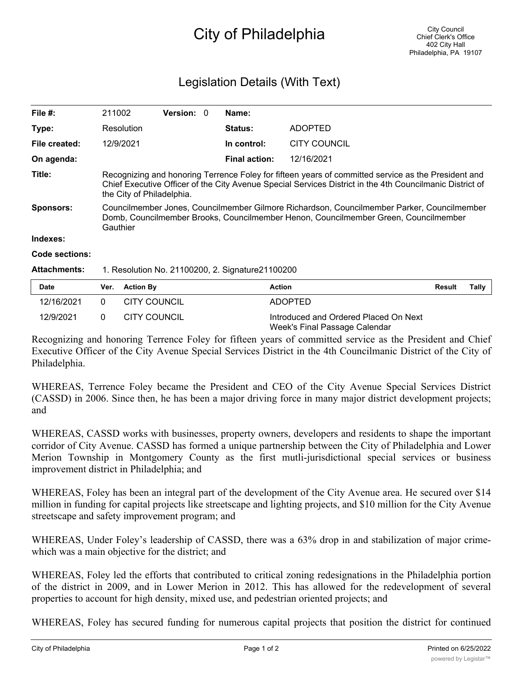## City of Philadelphia

## Legislation Details (With Text)

| File $#$ :          | 211002                                                                                                                                                                                                                                       | <b>Version: 0</b> |  | Name:                |                     |                 |  |
|---------------------|----------------------------------------------------------------------------------------------------------------------------------------------------------------------------------------------------------------------------------------------|-------------------|--|----------------------|---------------------|-----------------|--|
| Type:               | Resolution                                                                                                                                                                                                                                   |                   |  | <b>Status:</b>       | <b>ADOPTED</b>      |                 |  |
| File created:       | 12/9/2021                                                                                                                                                                                                                                    |                   |  | In control:          | <b>CITY COUNCIL</b> |                 |  |
| On agenda:          |                                                                                                                                                                                                                                              |                   |  | <b>Final action:</b> | 12/16/2021          |                 |  |
| Title:              | Recognizing and honoring Terrence Foley for fifteen years of committed service as the President and<br>Chief Executive Officer of the City Avenue Special Services District in the 4th Councilmanic District of<br>the City of Philadelphia. |                   |  |                      |                     |                 |  |
| Sponsors:           | Councilmember Jones, Councilmember Gilmore Richardson, Councilmember Parker, Councilmember<br>Domb, Councilmember Brooks, Councilmember Henon, Councilmember Green, Councilmember<br>Gauthier                                                |                   |  |                      |                     |                 |  |
| Indexes:            |                                                                                                                                                                                                                                              |                   |  |                      |                     |                 |  |
| Code sections:      |                                                                                                                                                                                                                                              |                   |  |                      |                     |                 |  |
| <b>Attachments:</b> | 1. Resolution No. 21100200, 2. Signature 21100200                                                                                                                                                                                            |                   |  |                      |                     |                 |  |
| Date                | Ver. Action By                                                                                                                                                                                                                               |                   |  | <b>Action</b>        |                     | Result<br>Tallv |  |

| <b>Date</b> | Ver. Action By | Action                                                                 | Result | Tally |
|-------------|----------------|------------------------------------------------------------------------|--------|-------|
| 12/16/2021  | CITY COUNCIL   | <b>ADOPTED</b>                                                         |        |       |
| 12/9/2021   | CITY COUNCIL   | Introduced and Ordered Placed On Next<br>Week's Final Passage Calendar |        |       |

Recognizing and honoring Terrence Foley for fifteen years of committed service as the President and Chief Executive Officer of the City Avenue Special Services District in the 4th Councilmanic District of the City of Philadelphia.

WHEREAS, Terrence Foley became the President and CEO of the City Avenue Special Services District (CASSD) in 2006. Since then, he has been a major driving force in many major district development projects; and

WHEREAS, CASSD works with businesses, property owners, developers and residents to shape the important corridor of City Avenue. CASSD has formed a unique partnership between the City of Philadelphia and Lower Merion Township in Montgomery County as the first mutli-jurisdictional special services or business improvement district in Philadelphia; and

WHEREAS, Foley has been an integral part of the development of the City Avenue area. He secured over \$14 million in funding for capital projects like streetscape and lighting projects, and \$10 million for the City Avenue streetscape and safety improvement program; and

WHEREAS, Under Foley's leadership of CASSD, there was a 63% drop in and stabilization of major crimewhich was a main objective for the district; and

WHEREAS, Foley led the efforts that contributed to critical zoning redesignations in the Philadelphia portion of the district in 2009, and in Lower Merion in 2012. This has allowed for the redevelopment of several properties to account for high density, mixed use, and pedestrian oriented projects; and

WHEREAS, Foley has secured funding for numerous capital projects that position the district for continued